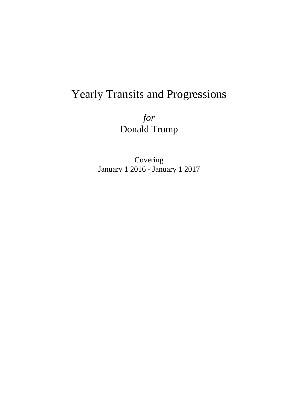# Yearly Transits and Progressions

*for* Donald Trump

Covering January 1 2016 - January 1 2017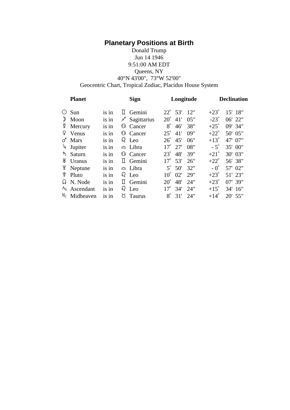# **Planetary Positions at Birth**

# Donald Trump Jun 14 1946 9:51:00 AM EDT Queens, NY 40°N 43'00", 73°W 52'00"

Geocentric Chart, Tropical Zodiac, Placidus House System

| <b>Planet</b>            |       | <b>Sign</b>         | Longitude                  | <b>Declination</b>       |  |
|--------------------------|-------|---------------------|----------------------------|--------------------------|--|
| Sun<br>$\odot$           | is in | $\mathbb I$ Gemini  | 12"<br>$22^{\circ}$<br>53' | $+23^\circ$<br>15' 18"   |  |
| $\mathcal{D}$<br>Moon    | is in | Χ<br>Sagittarius    | $20^{\circ}$<br>05"<br>41' | $-23^\circ$<br>06' 22"   |  |
| ₫<br>Mercury             | is in | <b>6</b> Cancer     | $8^\circ$<br>38"<br>46'    | $+25^\circ$<br>09' 34"   |  |
| ¥.<br>Venus              | is in | <b>6</b> Cancer     | $25^\circ$<br>09"<br>41'   | $+22^\circ$<br>50' 05"   |  |
| $\sigma$ Mars            | is in | $\Omega$ Leo        | $26^{\circ}$<br>45'<br>06" | $+13^\circ$<br>47' 07"   |  |
| Jupiter<br>4             | is in | $\triangle$ Libra   | $17^{\circ}$<br>08"<br>27' | $-5^\circ$<br>35' 00"    |  |
| ち Saturn                 | is in | <b>6</b> Cancer     | $23^\circ$<br>48'<br>39"   | $+21^{\circ}$<br>30' 03" |  |
| Ж<br>Uranus              | is in | $\mathbb{I}$ Gemini | $17^{\circ}$<br>53'<br>26" | $+22^\circ$<br>56' 38"   |  |
| ¥.<br>Neptune            | is in | $\triangle$ Libra   | $5^{\circ}$<br>50'<br>32"  | $-0^{\circ}$<br>57' 02"  |  |
| $\frac{6}{7}$ Pluto      | is in | $\Omega$ Leo        | $10^{\circ}$<br>02'<br>29" | $+23^\circ$<br>51' 23"   |  |
| $\Omega$ N. Node         | is in | $\mathbb{I}$ Gemini | $20^{\circ}$<br>48'<br>24" | $+23^\circ$<br>$07'$ 39" |  |
| A <sub>S</sub> Ascendant | is in | $\Omega$ Leo        | $17^{\circ}$<br>24"<br>34' | $+15^\circ$<br>34' 16"   |  |
| $M_C$ Midheaven          | is in | ŏ<br><b>Taurus</b>  | $8^\circ$<br>24"<br>31'    | $+14^\circ$<br>20' 55"   |  |
|                          |       |                     |                            |                          |  |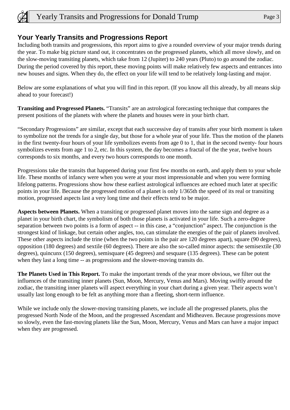

# **Your Yearly Transits and Progressions Report**

Including both transits and progressions, this report aims to give a rounded overview of your major trends during the year. To make big picture stand out, it concentrates on the progressed planets, which all move slowly, and on the slow-moving transiting planets, which take from 12 (Jupiter) to 240 years (Pluto) to go around the zodiac. During the period covered by this report, these moving points will make relatively few aspects and entrances into new houses and signs. When they do, the effect on your life will tend to be relatively long-lasting and major.

Below are some explanations of what you will find in this report. (If you know all this already, by all means skip ahead to your forecast!)

**Transiting and Progressed Planets.** "Transits" are an astrological forecasting technique that compares the present positions of the planets with where the planets and houses were in your birth chart.

"Secondary Progressions" are similar, except that each successive day of transits after your birth moment is taken to symbolize not the trends for a single day, but those for a whole year of your life. Thus the motion of the planets in the first twenty-four hours of your life symbolizes events from age 0 to 1, that in the second twenty- four hours symbolizes events from age 1 to 2, etc. In this system, the day becomes a fractal of the the year, twelve hours corresponds to six months, and every two hours corresponds to one month.

Progressions take the transits that happened during your first few months on earth, and apply them to your whole life. These months of infancy were when you were at your most impressionable and when you were forming lifelong patterns. Progressions show how these earliest astrological influences are echoed much later at specific points in your life. Because the progressed motion of a planet is only 1/365th the speed of its real or transiting motion, progressed aspects last a very long time and their effects tend to be major.

**Aspects between Planets.** When a transiting or progressed planet moves into the same sign and degree as a planet in your birth chart, the symbolism of both those planets is activated in your life. Such a zero-degree separation between two points is a form of aspect -- in this case, a "conjunction" aspect. The conjunction is the strongest kind of linkage, but certain other angles, too, can stimulate the energies of the pair of planets involved. These other aspects include the trine (when the two points in the pair are 120 degrees apart), square (90 degrees), opposition (180 degrees) and sextile (60 degrees). There are also the so-called minor aspects: the semisextile (30 degrees), quincunx (150 degrees), semisquare (45 degrees) and sesquare (135 degrees). These can be potent when they last a long time -- as progressions and the slower-moving transits do.

**The Planets Used in This Report.** To make the important trends of the year more obvious, we filter out the influences of the transiting inner planets (Sun, Moon, Mercury, Venus and Mars). Moving swiftly around the zodiac, the transiting inner planets will aspect everything in your chart during a given year. Their aspects won't usually last long enough to be felt as anything more than a fleeting, short-term influence.

While we include only the slower-moving transiting planets, we include all the progressed planets, plus the progressed North Node of the Moon, and the progressed Ascendant and Midheaven. Because progressions move so slowly, even the fast-moving planets like the Sun, Moon, Mercury, Venus and Mars can have a major impact when they are progressed.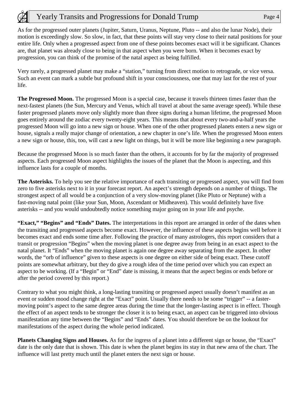As for the progressed outer planets (Jupiter, Saturn, Uranus, Neptune, Pluto -- and also the lunar Node), their motion is exceedingly slow. So slow, in fact, that these points will stay very close to their natal positions for your entire life. Only when a progressed aspect from one of these points becomes exact will it be significant. Chances are, that planet was already close to being in that aspect when you were born. When it becomes exact by progression, you can think of the promise of the natal aspect as being fulfilled.

Very rarely, a progressed planet may make a "station," turning from direct motion to retrograde, or vice versa. Such an event can mark a subtle but profound shift in your consciousness, one that may last for the rest of your life.

**The Progressed Moon.** The progressed Moon is a special case, because it travels thirteen times faster than the next-fastest planets (the Sun, Mercury and Venus, which all travel at about the same average speed). While these faster progressed planets move only slightly more than three signs during a human lifetime, the progressed Moon goes entirely around the zodiac every twenty-eight years. This means that about every two-and-a-half years the progressed Moon will go into a new sign or house. When one of the other progressed planets enters a new sign or house, signals a really major change of orientation, a new chapter in one's life. When the progressed Moon enters a new sign or house, this, too, will cast a new light on things, but it will be more like beginning a new paragraph.

Because the progressed Moon is so much faster than the others, it accounts for by far the majority of progressed aspects. Each progressed Moon aspect highlights the issues of the planet that the Moon is aspecting, and this influence lasts for a couple of months.

**The Asterisks.** To help you see the relative importance of each transiting or progressed aspect, you will find from zero to five asterisks next to it in your forecast report. An aspect's strength depends on a number of things. The strongest aspect of all would be a conjunction of a very slow-moving planet (like Pluto or Neptune) with a fast-moving natal point (like your Sun, Moon, Ascendant or Midheaven). This would definitely have five asterisks -- and you would undoubtedly notice something major going on in your life and psyche.

**"Exact," "Begins" and "Ends" Dates.** The interpretations in this report are arranged in order of the dates when the transiting and progressed aspects become exact. However, the influence of these aspects begins well before it becomes exact and ends some time after. Following the practice of many astrologers, this report considers that a transit or progression "Begins" when the moving planet is one degree away from being in an exact aspect to the natal planet. It "Ends" when the moving planet is again one degree away separating from the aspect. In other words, the "orb of influence" given to these aspects is one degree on either side of being exact. These cutoff points are somewhat arbitrary, but they do give a rough idea of the time period over which you can expect an aspect to be working. (If a "Begin" or "End" date is missing, it means that the aspect begins or ends before or after the period covered by this report.)

Contrary to what you might think, a long-lasting transiting or progressed aspect usually doesn't manifest as an event or sudden mood change right at the "Exact" point. Usually there needs to be some "trigger" -- a fastermoving point's aspect to the same degree areas during the time that the longer-lasting aspect is in effect. Though the effect of an aspect tends to be stronger the closer it is to being exact, an aspect can be triggered into obvious manifestation any time between the "Begins" and "Ends" dates. You should therefore be on the lookout for manifestations of the aspect during the whole period indicated.

**Planets Changing Signs and Houses.** As for the ingress of a planet into a different sign or house, the "Exact" date is the only date that is shown. This date is when the planet begins its stay in that new area of the chart. The influence will last pretty much until the planet enters the next sign or house.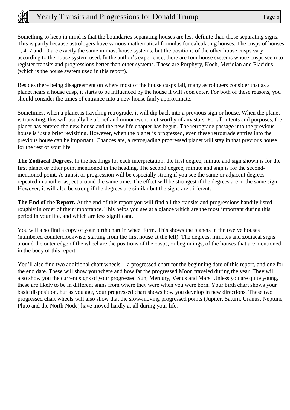Something to keep in mind is that the boundaries separating houses are less definite than those separating signs. This is partly because astrologers have various mathematical formulas for calculating houses. The cusps of houses 1, 4, 7 and 10 are exactly the same in most house systems, but the positions of the other house cusps vary according to the house system used. In the author's experience, there are four house systems whose cusps seem to register transits and progressions better than other systems. These are Porphyry, Koch, Meridian and Placidus (which is the house system used in this report).

Besides there being disagreement on where most of the house cusps fall, many astrologers consider that as a planet nears a house cusp, it starts to be influenced by the house it will soon enter. For both of these reasons, you should consider the times of entrance into a new house fairly approximate.

Sometimes, when a planet is traveling retrograde, it will dip back into a previous sign or house. When the planet is transiting, this will usually be a brief and minor event, not worthy of any stars. For all intents and purposes, the planet has entered the new house and the new life chapter has begun. The retrograde passage into the previous house is just a brief revisiting. However, when the planet is progressed, even these retrograde entries into the previous house can be important. Chances are, a retrograding progressed planet will stay in that previous house for the rest of your life.

**The Zodiacal Degrees.** In the headings for each interpretation, the first degree, minute and sign shown is for the first planet or other point mentioned in the heading. The second degree, minute and sign is for the secondmentioned point. A transit or progression will be especially strong if you see the same or adjacent degrees repeated in another aspect around the same time. The effect will be strongest if the degrees are in the same sign. However, it will also be strong if the degrees are similar but the signs are different.

**The End of the Report.** At the end of this report you will find all the transits and progressions handily listed, roughly in order of their importance. This helps you see at a glance which are the most important during this period in your life, and which are less significant.

You will also find a copy of your birth chart in wheel form. This shows the planets in the twelve houses (numbered counterclockwise, starting from the first house at the left). The degrees, minutes and zodiacal signs around the outer edge of the wheel are the positions of the cusps, or beginnings, of the houses that are mentioned in the body of this report.

You'll also find two additional chart wheels -- a progressed chart for the beginning date of this report, and one for the end date. These will show you where and how far the progressed Moon traveled during the year. They will also show you the current signs of your progressed Sun, Mercury, Venus and Mars. Unless you are quite young, these are likely to be in different signs from where they were when you were born. Your birth chart shows your basic disposition, but as you age, your progressed chart shows how you develop in new directions. These two progressed chart wheels will also show that the slow-moving progressed points (Jupiter, Saturn, Uranus, Neptune, Pluto and the North Node) have moved hardly at all during your life.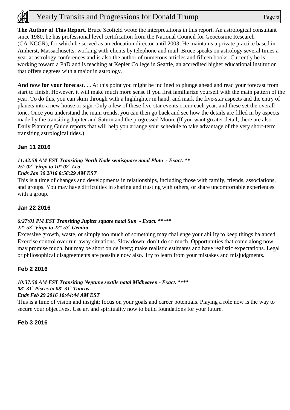**The Author of This Report.** Bruce Scofield wrote the interpretations in this report. An astrological consultant since 1980, he has professional level certification from the National Council for Geocosmic Research (CA-NCGR), for which he served as an education director until 2003. He maintains a private practice based in Amherst, Massachusetts, working with clients by telephone and mail. Bruce speaks on astrology several times a year at astrology conferences and is also the author of numerous articles and fifteen books. Currently he is working toward a PhD and is teaching at Kepler College in Seattle, an accredited higher educational institution that offers degrees with a major in astrology.

**And now for your forecast. . .** At this point you might be inclined to plunge ahead and read your forecast from start to finish. However, it will make much more sense if you first familiarize yourself with the main pattern of the year. To do this, you can skim through with a highlighter in hand, and mark the five-star aspects and the entry of planets into a new house or sign. Only a few of these five-star events occur each year, and these set the overall tone. Once you understand the main trends, you can then go back and see how the details are filled in by aspects made by the transiting Jupiter and Saturn and the progressed Moon. (If you want greater detail, there are also Daily Planning Guide reports that will help you arrange your schedule to take advantage of the very short-term transiting astrological tides.)

# **Jan 11 2016**

# *11:42:58 AM EST Transiting North Node semisquare natal Pluto - Exact. \*\* 25° 02` Virgo to 10° 02` Leo*

#### *Ends Jan 30 2016 8:56:29 AM EST*

This is a time of changes and developments in relationships, including those with family, friends, associations, and groups. You may have difficulties in sharing and trusting with others, or share uncomfortable experiences with a group.

# **Jan 22 2016**

# *6:27:01 PM EST Transiting Jupiter square natal Sun - Exact. \*\*\*\*\**

#### *22° 53` Virgo to 22° 53` Gemini*

Excessive growth, waste, or simply too much of something may challenge your ability to keep things balanced. Exercise control over run-away situations. Slow down; don't do so much. Opportunities that come along now may promise much, but may be short on delivery; make realistic estimates and have realistic expectations. Legal or philosophical disagreements are possible now also. Try to learn from your mistakes and misjudgments.

# **Feb 2 2016**

# *10:37:50 AM EST Transiting Neptune sextile natal Midheaven - Exact. \*\*\*\* 08° 31` Pisces to 08° 31` Taurus*

#### *Ends Feb 29 2016 10:44:44 AM EST*

This is a time of vision and insight; focus on your goals and career potentials. Playing a role now is the way to secure your objectives. Use art and spirituality now to build foundations for your future.

#### **Feb 3 2016**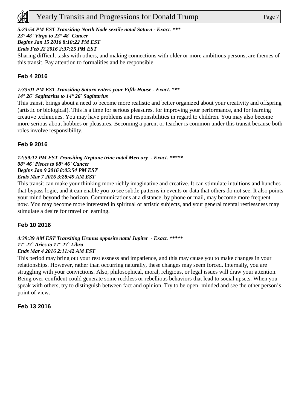# *5:23:54 PM EST Transiting North Node sextile natal Saturn - Exact. \*\*\**

*23° 48` Virgo to 23° 48` Cancer* 

# *Begins Jan 15 2016 8:10:22 PM EST*

*Ends Feb 22 2016 2:37:25 PM EST*

Sharing difficult tasks with others, and making connections with older or more ambitious persons, are themes of this transit. Pay attention to formalities and be responsible.

# **Feb 4 2016**

### *7:33:01 PM EST Transiting Saturn enters your Fifth House - Exact. \*\*\* 14° 26` Sagittarius to 14° 26` Sagittarius*

This transit brings about a need to become more realistic and better organized about your creativity and offspring (artistic or biological). This is a time for serious pleasures, for improving your performance, and for learning creative techniques. You may have problems and responsibilities in regard to children. You may also become more serious about hobbies or pleasures. Becoming a parent or teacher is common under this transit because both roles involve responsibility.

# **Feb 9 2016**

#### *12:59:12 PM EST Transiting Neptune trine natal Mercury - Exact. \*\*\*\*\* 08° 46` Pisces to 08° 46` Cancer Begins Jan 9 2016 8:05:54 PM EST Ends Mar 7 2016 3:28:49 AM EST*

This transit can make your thinking more richly imaginative and creative. It can stimulate intuitions and hunches that bypass logic, and it can enable you to see subtle patterns in events or data that others do not see. It also points your mind beyond the horizon. Communications at a distance, by phone or mail, may become more frequent now. You may become more interested in spiritual or artistic subjects, and your general mental restlessness may stimulate a desire for travel or learning.

# **Feb 10 2016**

#### *4:39:39 AM EST Transiting Uranus opposite natal Jupiter - Exact. \*\*\*\*\* 17° 27` Aries to 17° 27` Libra Ends Mar 4 2016 2:11:42 AM EST*

### This period may bring out your restlessness and impatience, and this may cause you to make changes in your relationships. However, rather than occurring naturally, these changes may seem forced. Internally, you are struggling with your convictions. Also, philosophical, moral, religious, or legal issues will draw your attention. Being over-confident could generate some reckless or rebellious behaviors that lead to social upsets. When you speak with others, try to distinguish between fact and opinion. Try to be open- minded and see the other person's point of view.

# **Feb 13 2016**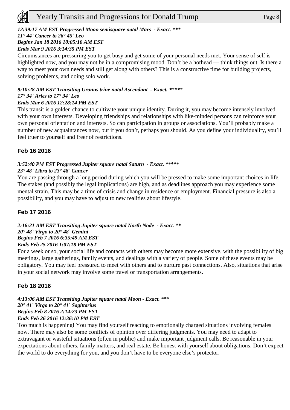# *12:39:17 AM EST Progressed Moon semisquare natal Mars - Exact. \*\*\**

# *11° 44` Cancer to 26° 45` Leo*

*Begins Jan 18 2016 10:05:10 AM EST* 

# *Ends Mar 9 2016 3:14:35 PM EST*

Circumstances are pressuring you to get busy and get some of your personal needs met. Your sense of self is highlighted now, and you may not be in a compromising mood. Don't be a hothead — think things out. Is there a way to meet your own needs and still get along with others? This is a constructive time for building projects, solving problems, and doing solo work.

# *9:10:28 AM EST Transiting Uranus trine natal Ascendant - Exact. \*\*\*\*\* 17° 34` Aries to 17° 34` Leo*

#### *Ends Mar 6 2016 12:28:14 PM EST*

This transit is a golden chance to cultivate your unique identity. During it, you may become intensely involved with your own interests. Developing friendships and relationships with like-minded persons can reinforce your own personal orientation and interests. So can participation in groups or associations. You'll probably make a number of new acquaintances now, but if you don't, perhaps you should. As you define your individuality, you'll feel truer to yourself and freer of restrictions.

# **Feb 16 2016**

# *3:52:40 PM EST Progressed Jupiter square natal Saturn - Exact. \*\*\*\*\**

#### *23° 48` Libra to 23° 48` Cancer*

You are passing through a long period during which you will be pressed to make some important choices in life. The stakes (and possibly the legal implications) are high, and as deadlines approach you may experience some mental strain. This may be a time of crisis and change in residence or employment. Financial pressure is also a possibility, and you may have to adjust to new realities about lifestyle.

# **Feb 17 2016**

*2:16:21 AM EST Transiting Jupiter square natal North Node - Exact. \*\* 20° 48` Virgo to 20° 48` Gemini Begins Feb 7 2016 6:35:49 AM EST Ends Feb 25 2016 1:07:18 PM EST*

For a week or so, your social life and contacts with others may become more extensive, with the possibility of big meetings, large gatherings, family events, and dealings with a variety of people. Some of these events may be obligatory. You may feel pressured to meet with others and to nurture past connections. Also, situations that arise in your social network may involve some travel or transportation arrangements.

# **Feb 18 2016**

*4:13:06 AM EST Transiting Jupiter square natal Moon - Exact. \*\*\* 20° 41` Virgo to 20° 41` Sagittarius Begins Feb 8 2016 2:14:23 PM EST Ends Feb 26 2016 12:36:10 PM EST*

Too much is happening! You may find yourself reacting to emotionally charged situations involving females now. There may also be some conflicts of opinion over differing judgments. You may need to adapt to extravagant or wasteful situations (often in public) and make important judgment calls. Be reasonable in your expectations about others, family matters, and real estate. Be honest with yourself about obligations. Don't expect the world to do everything for you, and you don't have to be everyone else's protector.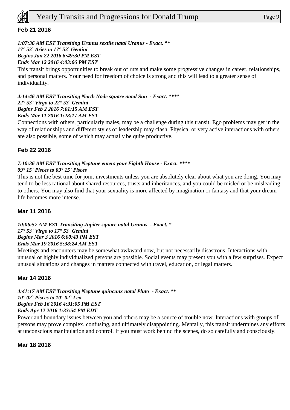

### **Feb 21 2016**

*1:07:36 AM EST Transiting Uranus sextile natal Uranus - Exact. \*\* 17° 53` Aries to 17° 53` Gemini Begins Jan 22 2016 6:49:30 PM EST Ends Mar 12 2016 4:03:06 PM EST*

This transit brings opportunities to break out of ruts and make some progressive changes in career, relationships, and personal matters. Your need for freedom of choice is strong and this will lead to a greater sense of individuality.

*4:14:46 AM EST Transiting North Node square natal Sun - Exact. \*\*\*\* 22° 53` Virgo to 22° 53` Gemini Begins Feb 2 2016 7:01:15 AM EST Ends Mar 11 2016 1:28:17 AM EST*

Connections with others, particularly males, may be a challenge during this transit. Ego problems may get in the way of relationships and different styles of leadership may clash. Physical or very active interactions with others are also possible, some of which may actually be quite productive.

#### **Feb 22 2016**

#### *7:10:36 AM EST Transiting Neptune enters your Eighth House - Exact. \*\*\*\**

#### *09° 15` Pisces to 09° 15` Pisces*

This is not the best time for joint investments unless you are absolutely clear about what you are doing. You may tend to be less rational about shared resources, trusts and inheritances, and you could be misled or be misleading to others. You may also find that your sexuality is more affected by imagination or fantasy and that your dream life becomes more intense.

#### **Mar 11 2016**

*10:06:57 AM EST Transiting Jupiter square natal Uranus - Exact. \* 17° 53` Virgo to 17° 53` Gemini Begins Mar 3 2016 6:00:43 PM EST Ends Mar 19 2016 5:38:24 AM EST*

Meetings and encounters may be somewhat awkward now, but not necessarily disastrous. Interactions with unusual or highly individualized persons are possible. Social events may present you with a few surprises. Expect unusual situations and changes in matters connected with travel, education, or legal matters.

#### **Mar 14 2016**

*4:41:17 AM EST Transiting Neptune quincunx natal Pluto - Exact. \*\* 10° 02` Pisces to 10° 02` Leo Begins Feb 16 2016 4:31:05 PM EST Ends Apr 12 2016 1:33:54 PM EDT*

Power and boundary issues between you and others may be a source of trouble now. Interactions with groups of persons may prove complex, confusing, and ultimately disappointing. Mentally, this transit undermines any efforts at unconscious manipulation and control. If you must work behind the scenes, do so carefully and consciously.

**Mar 18 2016**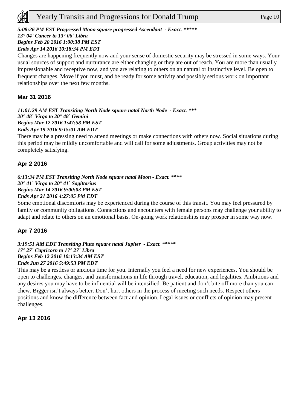# *5:08:26 PM EST Progressed Moon square progressed Ascendant - Exact. \*\*\*\*\**

*13° 04` Cancer to 13° 06` Libra* 

*Begins Feb 20 2016 1:00:38 PM EST* 

*Ends Apr 14 2016 10:18:34 PM EDT*

Changes are happening frequently now and your sense of domestic security may be stressed in some ways. Your usual sources of support and nurturance are either changing or they are out of reach. You are more than usually impressionable and receptive now, and you are relating to others on an natural or instinctive level. Be open to frequent changes. Move if you must, and be ready for some activity and possibly serious work on important relationships over the next few months.

# **Mar 31 2016**

*11:01:29 AM EST Transiting North Node square natal North Node - Exact. \*\*\* 20° 48` Virgo to 20° 48` Gemini Begins Mar 12 2016 1:47:58 PM EST Ends Apr 19 2016 9:15:01 AM EDT*

There may be a pressing need to attend meetings or make connections with others now. Social situations during this period may be mildly uncomfortable and will call for some adjustments. Group activities may not be completely satisfying.

# **Apr 2 2016**

*6:13:34 PM EST Transiting North Node square natal Moon - Exact. \*\*\*\* 20° 41` Virgo to 20° 41` Sagittarius Begins Mar 14 2016 9:00:03 PM EST Ends Apr 21 2016 4:27:05 PM EDT*

Some emotional discomforts may be experienced during the course of this transit. You may feel pressured by family or community obligations. Connections and encounters with female persons may challenge your ability to adapt and relate to others on an emotional basis. On-going work relationships may prosper in some way now.

# **Apr 7 2016**

*3:19:51 AM EDT Transiting Pluto square natal Jupiter - Exact. \*\*\*\*\* 17° 27` Capricorn to 17° 27` Libra Begins Feb 12 2016 10:13:34 AM EST Ends Jun 27 2016 5:49:53 PM EDT*

This may be a restless or anxious time for you. Internally you feel a need for new experiences. You should be open to challenges, changes, and transformations in life through travel, education, and legalities. Ambitions and any desires you may have to be influential will be intensified. Be patient and don't bite off more than you can chew. Bigger isn't always better. Don't hurt others in the process of meeting such needs. Respect others' positions and know the difference between fact and opinion. Legal issues or conflicts of opinion may present challenges.

# **Apr 13 2016**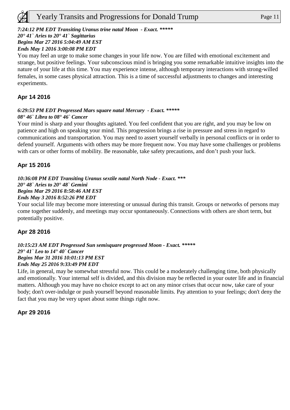#### *7:24:12 PM EDT Transiting Uranus trine natal Moon - Exact. \*\*\*\*\**

#### *20° 41` Aries to 20° 41` Sagittarius*

*Begins Mar 27 2016 5:04:49 AM EST* 

#### *Ends May 1 2016 3:00:08 PM EDT*

You may feel an urge to make some changes in your life now. You are filled with emotional excitement and strange, but positive feelings. Your subconscious mind is bringing you some remarkable intuitive insights into the nature of your life at this time. You may experience intense, although temporary interactions with strong-willed females, in some cases physical attraction. This is a time of successful adjustments to changes and interesting experiments.

### **Apr 14 2016**

#### *6:29:53 PM EDT Progressed Mars square natal Mercury - Exact. \*\*\*\*\* 08° 46` Libra to 08° 46` Cancer*

Your mind is sharp and your thoughts agitated. You feel confident that you are right, and you may be low on patience and high on speaking your mind. This progression brings a rise in pressure and stress in regard to communications and transportation. You may need to assert yourself verbally in personal conflicts or in order to defend yourself. Arguments with others may be more frequent now. You may have some challenges or problems with cars or other forms of mobility. Be reasonable, take safety precautions, and don't push your luck.

#### **Apr 15 2016**

*10:36:08 PM EDT Transiting Uranus sextile natal North Node - Exact. \*\*\* 20° 48` Aries to 20° 48` Gemini Begins Mar 29 2016 8:58:46 AM EST Ends May 3 2016 8:52:26 PM EDT*

Your social life may become more interesting or unusual during this transit. Groups or networks of persons may come together suddenly, and meetings may occur spontaneously. Connections with others are short term, but potentially positive.

#### **Apr 28 2016**

#### *10:15:23 AM EDT Progressed Sun semisquare progressed Moon - Exact. \*\*\*\*\* 29° 41` Leo to 14° 40` Cancer Begins Mar 31 2016 10:01:13 PM EST Ends May 25 2016 9:33:49 PM EDT*

Life, in general, may be somewhat stressful now. This could be a moderately challenging time, both physically and emotionally. Your internal self is divided, and this division may be reflected in your outer life and in financial matters. Although you may have no choice except to act on any minor crises that occur now, take care of your body; don't over-indulge or push yourself beyond reasonable limits. Pay attention to your feelings; don't deny the fact that you may be very upset about some things right now.

#### **Apr 29 2016**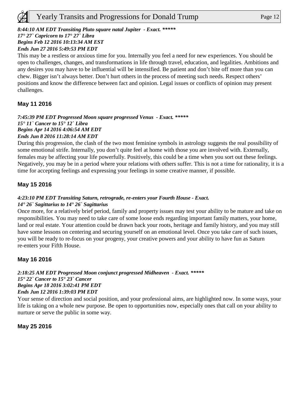# *8:44:10 AM EDT Transiting Pluto square natal Jupiter - Exact. \*\*\*\*\**

# *17° 27` Capricorn to 17° 27` Libra*

*Begins Feb 12 2016 10:13:34 AM EST* 

# *Ends Jun 27 2016 5:49:53 PM EDT*

This may be a restless or anxious time for you. Internally you feel a need for new experiences. You should be open to challenges, changes, and transformations in life through travel, education, and legalities. Ambitions and any desires you may have to be influential will be intensified. Be patient and don't bite off more than you can chew. Bigger isn't always better. Don't hurt others in the process of meeting such needs. Respect others' positions and know the difference between fact and opinion. Legal issues or conflicts of opinion may present challenges.

# **May 11 2016**

#### *7:45:39 PM EDT Progressed Moon square progressed Venus - Exact. \*\*\*\*\* 15° 11` Cancer to 15° 12` Libra Begins Apr 14 2016 4:06:54 AM EDT Ends Jun 8 2016 11:28:14 AM EDT*

During this progression, the clash of the two most feminine symbols in astrology suggests the real possibility of some emotional strife. Internally, you don't quite feel at home with those you are involved with. Externally, females may be affecting your life powerfully. Positively, this could be a time when you sort out these feelings. Negatively, you may be in a period where your relations with others suffer. This is not a time for rationality, it is a time for accepting feelings and expressing your feelings in some creative manner, if possible.

# **May 15 2016**

# *4:23:10 PM EDT Transiting Saturn, retrograde, re-enters your Fourth House - Exact.*

#### *14° 26` Sagittarius to 14° 26` Sagittarius*

Once more, for a relatively brief period, family and property issues may test your ability to be mature and take on responsibilities. You may need to take care of some loose ends regarding important family matters, your home, land or real estate. Your attention could be drawn back your roots, heritage and family history, and you may still have some lessons on centering and securing yourself on an emotional level. Once you take care of such issues, you will be ready to re-focus on your progeny, your creative powers and your ability to have fun as Saturn re-enters your Fifth House.

# **May 16 2016**

#### *2:18:25 AM EDT Progressed Moon conjunct progressed Midheaven - Exact. \*\*\*\*\* 15° 22` Cancer to 15° 23` Cancer Begins Apr 18 2016 3:02:41 PM EDT Ends Jun 12 2016 1:39:03 PM EDT*

Your sense of direction and social position, and your professional aims, are highlighted now. In some ways, your life is taking on a whole new purpose. Be open to opportunities now, especially ones that call on your ability to nurture or serve the public in some way.

# **May 25 2016**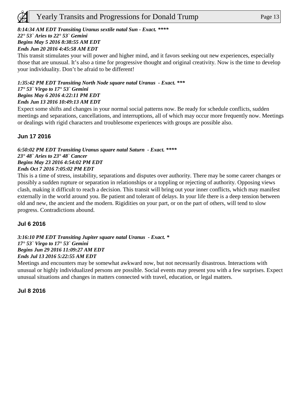

# *8:14:34 AM EDT Transiting Uranus sextile natal Sun - Exact. \*\*\*\**

#### *22° 53` Aries to 22° 53` Gemini Begins May 5 2016 8:38:55 AM EDT*

*Ends Jun 20 2016 4:45:58 AM EDT*

This transit stimulates your will power and higher mind, and it favors seeking out new experiences, especially those that are unusual. It's also a time for progressive thought and original creativity. Now is the time to develop your individuality. Don't be afraid to be different!

#### *1:35:42 PM EDT Transiting North Node square natal Uranus - Exact. \*\*\* 17° 53` Virgo to 17° 53` Gemini Begins May 6 2016 4:22:11 PM EDT Ends Jun 13 2016 10:49:13 AM EDT*

Expect some shifts and changes in your normal social patterns now. Be ready for schedule conflicts, sudden meetings and separations, cancellations, and interruptions, all of which may occur more frequently now. Meetings or dealings with rigid characters and troublesome experiences with groups are possible also.

# **Jun 17 2016**

*6:50:02 PM EDT Transiting Uranus square natal Saturn - Exact. \*\*\*\* 23° 48` Aries to 23° 48` Cancer Begins May 23 2016 4:54:02 PM EDT Ends Oct 7 2016 7:05:02 PM EDT*

This is a time of stress, instability, separations and disputes over authority. There may be some career changes or possibly a sudden rupture or separation in relationships or a toppling or rejecting of authority. Opposing views clash, making it difficult to reach a decision. This transit will bring out your inner conflicts, which may manifest externally in the world around you. Be patient and tolerant of delays. In your life there is a deep tension between old and new, the ancient and the modern. Rigidities on your part, or on the part of others, will tend to slow progress. Contradictions abound.

# **Jul 6 2016**

*3:16:10 PM EDT Transiting Jupiter square natal Uranus - Exact. \* 17° 53` Virgo to 17° 53` Gemini Begins Jun 29 2016 11:09:27 AM EDT Ends Jul 13 2016 5:22:55 AM EDT*

Meetings and encounters may be somewhat awkward now, but not necessarily disastrous. Interactions with unusual or highly individualized persons are possible. Social events may present you with a few surprises. Expect unusual situations and changes in matters connected with travel, education, or legal matters.

**Jul 8 2016**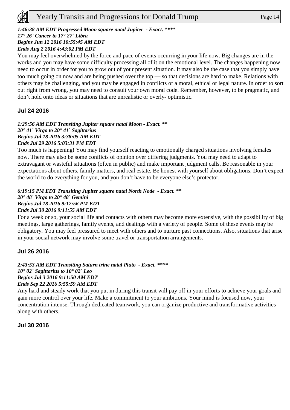#### *1:46:38 AM EDT Progressed Moon square natal Jupiter - Exact. \*\*\*\**

# *17° 26` Cancer to 17° 27` Libra*

*Begins Jun 12 2016 10:55:45 AM EDT* 

*Ends Aug 2 2016 4:43:02 PM EDT*

You may feel overwhelmed by the force and pace of events occurring in your life now. Big changes are in the works and you may have some difficulty processing all of it on the emotional level. The changes happening now need to occur in order for you to grow out of your present situation. It may also be the case that you simply have too much going on now and are being pushed over the top — so that decisions are hard to make. Relations with others may be challenging, and you may be engaged in conflicts of a moral, ethical or legal nature. In order to sort out right from wrong, you may need to consult your own moral code. Remember, however, to be pragmatic, and don't hold onto ideas or situations that are unrealistic or overly- optimistic.

#### **Jul 24 2016**

#### *1:29:56 AM EDT Transiting Jupiter square natal Moon - Exact. \*\* 20° 41` Virgo to 20° 41` Sagittarius Begins Jul 18 2016 3:38:05 AM EDT Ends Jul 29 2016 5:03:31 PM EDT*

Too much is happening! You may find yourself reacting to emotionally charged situations involving females now. There may also be some conflicts of opinion over differing judgments. You may need to adapt to extravagant or wasteful situations (often in public) and make important judgment calls. Be reasonable in your expectations about others, family matters, and real estate. Be honest with yourself about obligations. Don't expect the world to do everything for you, and you don't have to be everyone else's protector.

#### *6:19:15 PM EDT Transiting Jupiter square natal North Node - Exact. \*\* 20° 48` Virgo to 20° 48` Gemini Begins Jul 18 2016 9:17:56 PM EDT Ends Jul 30 2016 9:11:55 AM EDT*

For a week or so, your social life and contacts with others may become more extensive, with the possibility of big meetings, large gatherings, family events, and dealings with a variety of people. Some of these events may be obligatory. You may feel pressured to meet with others and to nurture past connections. Also, situations that arise in your social network may involve some travel or transportation arrangements.

# **Jul 26 2016**

*2:43:53 AM EDT Transiting Saturn trine natal Pluto - Exact. \*\*\*\* 10° 02` Sagittarius to 10° 02` Leo Begins Jul 3 2016 9:11:50 AM EDT Ends Sep 22 2016 5:55:59 AM EDT*

Any hard and steady work that you put in during this transit will pay off in your efforts to achieve your goals and gain more control over your life. Make a commitment to your ambitions. Your mind is focused now, your concentration intense. Through dedicated teamwork, you can organize productive and transformative activities along with others.

#### **Jul 30 2016**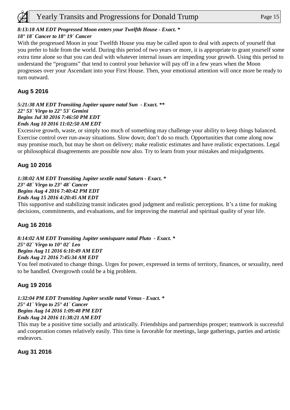# *8:13:18 AM EDT Progressed Moon enters your Twelfth House - Exact. \**

# *18° 18` Cancer to 18° 19` Cancer*

With the progressed Moon in your Twelfth House you may be called upon to deal with aspects of yourself that you prefer to hide from the world. During this period of two years or more, it is appropriate to grant yourself some extra time alone so that you can deal with whatever internal issues are impeding your growth. Using this period to understand the "programs" that tend to control your behavior will pay off in a few years when the Moon progresses over your Ascendant into your First House. Then, your emotional attention will once more be ready to turn outward.

# **Aug 5 2016**

*5:21:38 AM EDT Transiting Jupiter square natal Sun - Exact. \*\* 22° 53` Virgo to 22° 53` Gemini Begins Jul 30 2016 7:46:50 PM EDT Ends Aug 10 2016 11:02:50 AM EDT*

Excessive growth, waste, or simply too much of something may challenge your ability to keep things balanced. Exercise control over run-away situations. Slow down; don't do so much. Opportunities that come along now may promise much, but may be short on delivery; make realistic estimates and have realistic expectations. Legal or philosophical disagreements are possible now also. Try to learn from your mistakes and misjudgments.

# **Aug 10 2016**

*1:38:02 AM EDT Transiting Jupiter sextile natal Saturn - Exact. \* 23° 48` Virgo to 23° 48` Cancer Begins Aug 4 2016 7:40:42 PM EDT Ends Aug 15 2016 4:20:45 AM EDT*

This supportive and stabilizing transit indicates good judgment and realistic perceptions. It's a time for making decisions, commitments, and evaluations, and for improving the material and spiritual quality of your life.

# **Aug 16 2016**

*8:14:02 AM EDT Transiting Jupiter semisquare natal Pluto - Exact. \* 25° 02` Virgo to 10° 02` Leo Begins Aug 11 2016 6:10:49 AM EDT Ends Aug 21 2016 7:45:34 AM EDT* You feel motivated to change things. Urges for power, expressed in terms of territory, finances, or sexuality, need

to be handled. Overgrowth could be a big problem.

# **Aug 19 2016**

*1:32:04 PM EDT Transiting Jupiter sextile natal Venus - Exact. \* 25° 41` Virgo to 25° 41` Cancer Begins Aug 14 2016 1:09:48 PM EDT Ends Aug 24 2016 11:38:21 AM EDT*

This may be a positive time socially and artistically. Friendships and partnerships prosper; teamwork is successful and cooperation comes relatively easily. This time is favorable for meetings, large gatherings, parties and artistic endeavors.

**Aug 31 2016**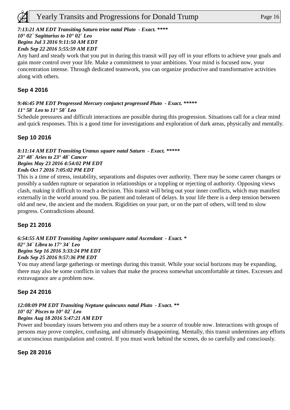#### *7:13:21 AM EDT Transiting Saturn trine natal Pluto - Exact. \*\*\*\**

*10° 02` Sagittarius to 10° 02` Leo* 

#### *Begins Jul 3 2016 9:11:50 AM EDT*

*Ends Sep 22 2016 5:55:59 AM EDT*

Any hard and steady work that you put in during this transit will pay off in your efforts to achieve your goals and gain more control over your life. Make a commitment to your ambitions. Your mind is focused now, your concentration intense. Through dedicated teamwork, you can organize productive and transformative activities along with others.

# **Sep 4 2016**

# *9:46:45 PM EDT Progressed Mercury conjunct progressed Pluto - Exact. \*\*\*\*\**

#### *11° 58` Leo to 11° 58` Leo*

Schedule pressures and difficult interactions are possible during this progression. Situations call for a clear mind and quick responses. This is a good time for investigations and exploration of dark areas, physically and mentally.

# **Sep 10 2016**

#### *8:11:14 AM EDT Transiting Uranus square natal Saturn - Exact. \*\*\*\*\* 23° 48` Aries to 23° 48` Cancer Begins May 23 2016 4:54:02 PM EDT Ends Oct 7 2016 7:05:02 PM EDT*

This is a time of stress, instability, separations and disputes over authority. There may be some career changes or possibly a sudden rupture or separation in relationships or a toppling or rejecting of authority. Opposing views clash, making it difficult to reach a decision. This transit will bring out your inner conflicts, which may manifest externally in the world around you. Be patient and tolerant of delays. In your life there is a deep tension between old and new, the ancient and the modern. Rigidities on your part, or on the part of others, will tend to slow progress. Contradictions abound.

# **Sep 21 2016**

#### *6:54:55 AM EDT Transiting Jupiter semisquare natal Ascendant - Exact. \* 02° 34` Libra to 17° 34` Leo Begins Sep 16 2016 3:33:24 PM EDT Ends Sep 25 2016 9:57:36 PM EDT*

You may attend large gatherings or meetings during this transit. While your social horizons may be expanding, there may also be some conflicts in values that make the process somewhat uncomfortable at times. Excesses and extravagance are a problem now.

# **Sep 24 2016**

# *12:08:09 PM EDT Transiting Neptune quincunx natal Pluto - Exact. \*\**

*10° 02` Pisces to 10° 02` Leo* 

# *Begins Aug 18 2016 5:47:21 AM EDT*

Power and boundary issues between you and others may be a source of trouble now. Interactions with groups of persons may prove complex, confusing, and ultimately disappointing. Mentally, this transit undermines any efforts at unconscious manipulation and control. If you must work behind the scenes, do so carefully and consciously.

**Sep 28 2016**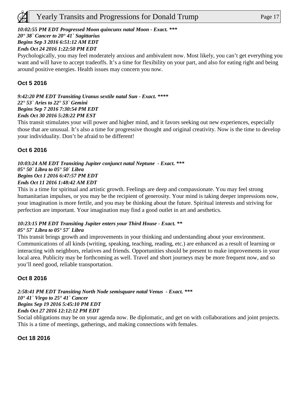# *20° 38` Cancer to 20° 41` Sagittarius*

*Begins Sep 3 2016 6:51:12 AM EDT* 

#### *Ends Oct 24 2016 1:22:50 PM EDT*

Psychologically, you may feel moderately anxious and ambivalent now. Most likely, you can't get everything you want and will have to accept tradeoffs. It's a time for flexibility on your part, and also for eating right and being around positive energies. Health issues may concern you now.

# **Oct 5 2016**

*9:42:20 PM EDT Transiting Uranus sextile natal Sun - Exact. \*\*\*\* 22° 53` Aries to 22° 53` Gemini Begins Sep 7 2016 7:30:54 PM EDT Ends Oct 30 2016 5:28:22 PM EST*

This transit stimulates your will power and higher mind, and it favors seeking out new experiences, especially those that are unusual. It's also a time for progressive thought and original creativity. Now is the time to develop your individuality. Don't be afraid to be different!

# **Oct 6 2016**

*10:03:24 AM EDT Transiting Jupiter conjunct natal Neptune - Exact. \*\*\* 05° 50` Libra to 05° 50` Libra Begins Oct 1 2016 6:47:57 PM EDT Ends Oct 11 2016 1:48:42 AM EDT*

This is a time for spiritual and artistic growth. Feelings are deep and compassionate. You may feel strong humanitarian impulses, or you may be the recipient of generosity. Your mind is taking deeper impressions now, your imagination is more fertile, and you may be thinking about the future. Spiritual interests and striving for perfection are important. Your imagination may find a good outlet in art and aesthetics.

# *10:23:15 PM EDT Transiting Jupiter enters your Third House - Exact. \*\**

#### *05° 57` Libra to 05° 57` Libra*

This transit brings growth and improvements in your thinking and understanding about your environment. Communications of all kinds (writing, speaking, teaching, reading, etc.) are enhanced as a result of learning or interacting with neighbors, relatives and friends. Opportunities should be present to make improvements in your local area. Publicity may be forthcoming as well. Travel and short journeys may be more frequent now, and so you'll need good, reliable transportation.

# **Oct 8 2016**

#### *2:58:41 PM EDT Transiting North Node semisquare natal Venus - Exact. \*\*\* 10° 41` Virgo to 25° 41` Cancer Begins Sep 19 2016 5:45:10 PM EDT Ends Oct 27 2016 12:12:12 PM EDT*

Social obligations may be on your agenda now. Be diplomatic, and get on with collaborations and joint projects. This is a time of meetings, gatherings, and making connections with females.

#### **Oct 18 2016**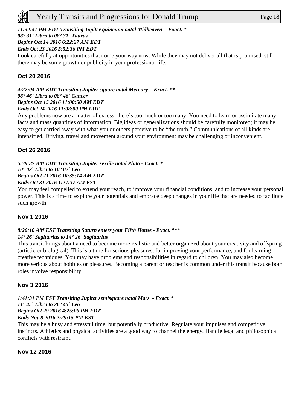# *11:32:41 PM EDT Transiting Jupiter quincunx natal Midheaven - Exact. \**

# *08° 31` Libra to 08° 31` Taurus*

# *Begins Oct 14 2016 6:22:27 AM EDT*

# *Ends Oct 23 2016 5:52:36 PM EDT*

Look carefully at opportunities that come your way now. While they may not deliver all that is promised, still there may be some growth or publicity in your professional life.

# **Oct 20 2016**

*4:27:04 AM EDT Transiting Jupiter square natal Mercury - Exact. \*\* 08° 46` Libra to 08° 46` Cancer Begins Oct 15 2016 11:00:50 AM EDT Ends Oct 24 2016 11:08:00 PM EDT*

Any problems now are a matter of excess; there's too much or too many. You need to learn or assimilate many facts and mass quantities of information. Big ideas or generalizations should be carefully monitored; it may be easy to get carried away with what you or others perceive to be "the truth." Communications of all kinds are intensified. Driving, travel and movement around your environment may be challenging or inconvenient.

# **Oct 26 2016**

*5:39:37 AM EDT Transiting Jupiter sextile natal Pluto - Exact. \* 10° 02` Libra to 10° 02` Leo Begins Oct 21 2016 10:35:14 AM EDT Ends Oct 31 2016 1:27:37 AM EST*

You may feel compelled to extend your reach, to improve your financial conditions, and to increase your personal power. This is a time to explore your potentials and embrace deep changes in your life that are needed to facilitate such growth.

# **Nov 1 2016**

#### *8:26:10 AM EST Transiting Saturn enters your Fifth House - Exact. \*\*\* 14° 26` Sagittarius to 14° 26` Sagittarius*

This transit brings about a need to become more realistic and better organized about your creativity and offspring (artistic or biological). This is a time for serious pleasures, for improving your performance, and for learning creative techniques. You may have problems and responsibilities in regard to children. You may also become more serious about hobbies or pleasures. Becoming a parent or teacher is common under this transit because both roles involve responsibility.

# **Nov 3 2016**

*1:41:31 PM EST Transiting Jupiter semisquare natal Mars - Exact. \* 11° 45` Libra to 26° 45` Leo Begins Oct 29 2016 4:25:06 PM EDT Ends Nov 8 2016 2:29:15 PM EST*

This may be a busy and stressful time, but potentially productive. Regulate your impulses and competitive instincts. Athletics and physical activities are a good way to channel the energy. Handle legal and philosophical conflicts with restraint.

#### **Nov 12 2016**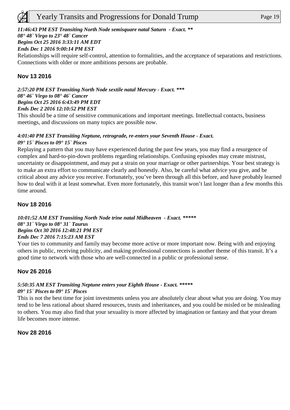# *11:46:43 PM EST Transiting North Node semisquare natal Saturn - Exact. \*\**

#### *08° 48` Virgo to 23° 48` Cancer*

#### *Begins Oct 25 2016 3:33:11 AM EDT*

#### *Ends Dec 1 2016 9:00:14 PM EST*

Relationships will require self-control, attention to formalities, and the acceptance of separations and restrictions. Connections with older or more ambitions persons are probable.

# **Nov 13 2016**

*2:57:20 PM EST Transiting North Node sextile natal Mercury - Exact. \*\*\* 08° 46` Virgo to 08° 46` Cancer Begins Oct 25 2016 6:43:49 PM EDT Ends Dec 2 2016 12:10:52 PM EST*

This should be a time of sensitive communications and important meetings. Intellectual contacts, business meetings, and discussions on many topics are possible now.

#### *4:01:40 PM EST Transiting Neptune, retrograde, re-enters your Seventh House - Exact. 09° 15` Pisces to 09° 15` Pisces*

Replaying a pattern that you may have experienced during the past few years, you may find a resurgence of complex and hard-to-pin-down problems regarding relationships. Confusing episodes may create mistrust, uncertainty or disappointment, and may put a strain on your marriage or other partnerships. Your best strategy is to make an extra effort to communicate clearly and honestly. Also, be careful what advice you give, and be critical about any advice you receive. Fortunately, you've been through all this before, and have probably learned how to deal with it at least somewhat. Even more fortunately, this transit won't last longer than a few months this time around.

#### **Nov 18 2016**

#### *10:01:52 AM EST Transiting North Node trine natal Midheaven - Exact. \*\*\*\*\* 08° 31` Virgo to 08° 31` Taurus Begins Oct 30 2016 12:48:21 PM EST Ends Dec 7 2016 7:15:23 AM EST*

Your ties to community and family may become more active or more important now. Being with and enjoying others in public, receiving publicity, and making professional connections is another theme of this transit. It's a good time to network with those who are well-connected in a public or professional sense.

#### **Nov 26 2016**

#### *5:50:35 AM EST Transiting Neptune enters your Eighth House - Exact. \*\*\*\*\* 09° 15` Pisces to 09° 15` Pisces*

This is not the best time for joint investments unless you are absolutely clear about what you are doing. You may tend to be less rational about shared resources, trusts and inheritances, and you could be misled or be misleading to others. You may also find that your sexuality is more affected by imagination or fantasy and that your dream life becomes more intense.

#### **Nov 28 2016**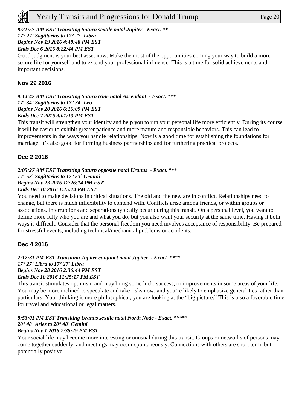#### *8:21:57 AM EST Transiting Saturn sextile natal Jupiter - Exact. \*\**

*17° 27` Sagittarius to 17° 27` Libra* 

#### *Begins Nov 19 2016 4:48:48 PM EST*

#### *Ends Dec 6 2016 8:22:44 PM EST*

Good judgment is your best asset now. Make the most of the opportunities coming your way to build a more secure life for yourself and to extend your professional influence. This is a time for solid achievements and important decisions.

#### **Nov 29 2016**

*9:14:42 AM EST Transiting Saturn trine natal Ascendant - Exact. \*\*\* 17° 34` Sagittarius to 17° 34` Leo Begins Nov 20 2016 6:16:09 PM EST Ends Dec 7 2016 9:01:13 PM EST*

This transit will strengthen your identity and help you to run your personal life more efficiently. During its course it will be easier to exhibit greater patience and more mature and responsible behaviors. This can lead to improvements in the ways you handle relationships. Now is a good time for establishing the foundations for marriage. It's also good for forming business partnerships and for furthering practical projects.

# **Dec 2 2016**

#### *2:05:27 AM EST Transiting Saturn opposite natal Uranus - Exact. \*\*\* 17° 53` Sagittarius to 17° 53` Gemini Begins Nov 23 2016 12:26:14 PM EST Ends Dec 10 2016 1:25:24 PM EST*

You need to make decisions in critical situations. The old and the new are in conflict. Relationships need to change, but there is much inflexibility to contend with. Conflicts arise among friends, or within groups or associations. Interruptions and separations typically occur during this transit. On a personal level, you want to define more fully who you are and what you do, but you also want your security at the same time. Having it both ways is difficult. Consider that the personal freedom you need involves acceptance of responsibility. Be prepared for stressful events, including technical/mechanical problems or accidents.

# **Dec 4 2016**

#### *2:12:31 PM EST Transiting Jupiter conjunct natal Jupiter - Exact. \*\*\*\* 17° 27` Libra to 17° 27` Libra Begins Nov 28 2016 2:36:44 PM EST Ends Dec 10 2016 11:25:17 PM EST*

This transit stimulates optimism and may bring some luck, success, or improvements in some areas of your life. You may be more inclined to speculate and take risks now, and you're likely to emphasize generalities rather than particulars. Your thinking is more philosophical; you are looking at the "big picture." This is also a favorable time for travel and educational or legal matters.

#### *8:53:01 PM EST Transiting Uranus sextile natal North Node - Exact. \*\*\*\*\* 20° 48` Aries to 20° 48` Gemini Begins Nov 1 2016 7:35:29 PM EST*

Your social life may become more interesting or unusual during this transit. Groups or networks of persons may come together suddenly, and meetings may occur spontaneously. Connections with others are short term, but potentially positive.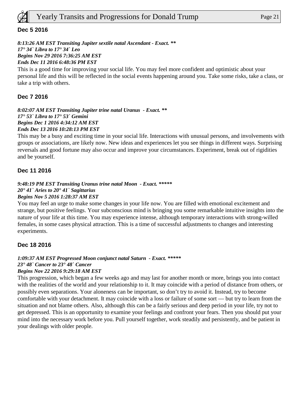

#### **Dec 5 2016**

*8:13:26 AM EST Transiting Jupiter sextile natal Ascendant - Exact. \*\* 17° 34` Libra to 17° 34` Leo Begins Nov 29 2016 7:36:25 AM EST Ends Dec 11 2016 6:48:36 PM EST*

This is a good time for improving your social life. You may feel more confident and optimistic about your personal life and this will be reflected in the social events happening around you. Take some risks, take a class, or take a trip with others.

#### **Dec 7 2016**

*8:02:07 AM EST Transiting Jupiter trine natal Uranus - Exact. \*\* 17° 53` Libra to 17° 53` Gemini Begins Dec 1 2016 4:34:12 AM EST Ends Dec 13 2016 10:28:13 PM EST*

This may be a busy and exciting time in your social life. Interactions with unusual persons, and involvements with groups or associations, are likely now. New ideas and experiences let you see things in different ways. Surprising reversals and good fortune may also occur and improve your circumstances. Experiment, break out of rigidities and be yourself.

#### **Dec 11 2016**

#### *9:48:19 PM EST Transiting Uranus trine natal Moon - Exact. \*\*\*\*\* 20° 41` Aries to 20° 41` Sagittarius Begins Nov 5 2016 1:28:37 AM EST*

You may feel an urge to make some changes in your life now. You are filled with emotional excitement and strange, but positive feelings. Your subconscious mind is bringing you some remarkable intuitive insights into the nature of your life at this time. You may experience intense, although temporary interactions with strong-willed females, in some cases physical attraction. This is a time of successful adjustments to changes and interesting experiments.

#### **Dec 18 2016**

# *1:09:37 AM EST Progressed Moon conjunct natal Saturn - Exact. \*\*\*\*\* 23° 48` Cancer to 23° 48` Cancer*

#### *Begins Nov 22 2016 9:29:18 AM EST*

This progression, which began a few weeks ago and may last for another month or more, brings you into contact with the realities of the world and your relationship to it. It may coincide with a period of distance from others, or possibly even separations. Your aloneness can be important, so don't try to avoid it. Instead, try to become comfortable with your detachment. It may coincide with a loss or failure of some sort — but try to learn from the situation and not blame others. Also, although this can be a fairly serious and deep period in your life, try not to get depressed. This is an opportunity to examine your feelings and confront your fears. Then you should put your mind into the necessary work before you. Pull yourself together, work steadily and persistently, and be patient in your dealings with older people.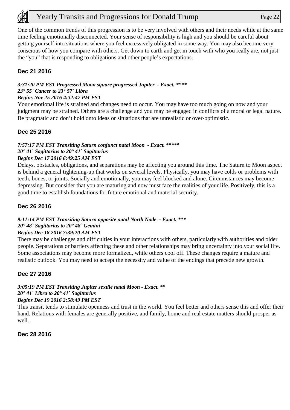One of the common trends of this progression is to be very involved with others and their needs while at the same time feeling emotionally disconnected. Your sense of responsibility is high and you should be careful about getting yourself into situations where you feel excessively obligated in some way. You may also become very conscious of how you compare with others. Get down to earth and get in touch with who you really are, not just the "you" that is responding to obligations and other people's expectations.

# **Dec 21 2016**

#### *3:31:20 PM EST Progressed Moon square progressed Jupiter - Exact. \*\*\*\* 23° 55` Cancer to 23° 57` Libra*

#### *Begins Nov 25 2016 4:32:47 PM EST*

Your emotional life is strained and changes need to occur. You may have too much going on now and your judgment may be strained. Others are a challenge and you may be engaged in conflicts of a moral or legal nature. Be pragmatic and don't hold onto ideas or situations that are unrealistic or over-optimistic.

#### **Dec 25 2016**

# *7:57:17 PM EST Transiting Saturn conjunct natal Moon - Exact. \*\*\*\*\* 20° 41` Sagittarius to 20° 41` Sagittarius*

#### *Begins Dec 17 2016 6:49:25 AM EST*

Delays, obstacles, obligations, and separations may be affecting you around this time. The Saturn to Moon aspect is behind a general tightening-up that works on several levels. Physically, you may have colds or problems with teeth, bones, or joints. Socially and emotionally, you may feel blocked and alone. Circumstances may become depressing. But consider that you are maturing and now must face the realities of your life. Positively, this is a good time to establish foundations for future emotional and material security.

### **Dec 26 2016**

#### *9:11:14 PM EST Transiting Saturn opposite natal North Node - Exact. \*\*\* 20° 48` Sagittarius to 20° 48` Gemini Begins Dec 18 2016 7:39:20 AM EST*

There may be challenges and difficulties in your interactions with others, particularly with authorities and older people. Separations or barriers affecting these and other relationships may bring uncertainty into your social life. Some associations may become more formalized, while others cool off. These changes require a mature and realistic outlook. You may need to accept the necessity and value of the endings that precede new growth.

# **Dec 27 2016**

# *3:05:19 PM EST Transiting Jupiter sextile natal Moon - Exact. \*\* 20° 41` Libra to 20° 41` Sagittarius*

#### *Begins Dec 19 2016 2:58:49 PM EST*

This transit tends to stimulate openness and trust in the world. You feel better and others sense this and offer their hand. Relations with females are generally positive, and family, home and real estate matters should prosper as well.

#### **Dec 28 2016**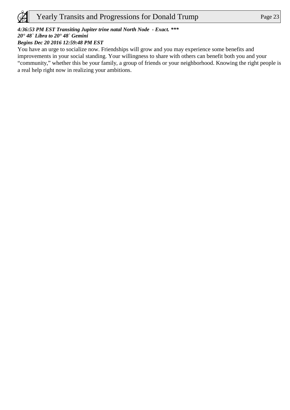

# *4:36:53 PM EST Transiting Jupiter trine natal North Node - Exact. \*\*\**

# *20° 48` Libra to 20° 48` Gemini*

# *Begins Dec 20 2016 12:59:48 PM EST*

You have an urge to socialize now. Friendships will grow and you may experience some benefits and improvements in your social standing. Your willingness to share with others can benefit both you and your "community," whether this be your family, a group of friends or your neighborhood. Knowing the right people is a real help right now in realizing your ambitions.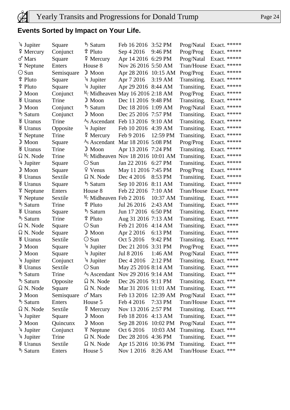# **Events Sorted by Impact on Your Life.**

| $\frac{1}{2}$ Jupiter                 | Square     | ち Saturn                                | Feb 16 2016 3:52 PM  |                   | Prog/Natal             | Exact. ***** |  |
|---------------------------------------|------------|-----------------------------------------|----------------------|-------------------|------------------------|--------------|--|
| $\frac{8}{7}$ Mercury                 | Conjunct   | $\frac{6}{7}$ Pluto                     | Sep 4 2016           | 9:46 PM           | Prog/Prog              | Exact. ***** |  |
| $\sigma$ <sup><math>Mars</math></sup> | Square     | $\frac{8}{7}$ Mercury                   | Apr 14 2016 6:29 PM  |                   | Prog/Natal             | Exact. ***** |  |
| <b>\</b> Neptune                      | Enters     | House 8                                 | Nov 26 2016 5:50 AM  |                   | Tran/House             | Exact. ***** |  |
| $\odot$ Sun                           | Semisquare | $\mathbb{D}$ Moon                       | Apr 28 2016 10:15 AM |                   | Prog/Prog              | Exact. ***** |  |
| ิ Pluto                               | Square     | 4 Jupiter                               | Apr 7 2016           | $3:19$ AM         | Transiting.            | Exact. ***** |  |
| ิ Pluto                               | Square     | 4 Jupiter                               | Apr 29 2016 8:44 AM  |                   | Transiting.            | Exact. ***** |  |
| $\mathbb{D}$ Moon                     | Conjunct   | $M_c$ Midheaven May 16 2016 2:18 AM     |                      |                   | Prog/Prog              | Exact. ***** |  |
| <b>\</b> Uranus                       | Trine      | $\mathcal{D}$ Moon                      | Dec 11 2016 9:48 PM  |                   | Transiting.            | Exact. ***** |  |
| $\mathbb{D}$ Moon                     | Conjunct   | ち Saturn                                | Dec 18 2016 1:09 AM  |                   | Prog/Natal             | Exact. ***** |  |
| ち Saturn                              | Conjunct   | $\mathbb{D}$ Moon                       | Dec 25 2016 7:57 PM  |                   | Transiting.            | Exact. ***** |  |
| <b>\</b> Uranus                       | Trine      | $AS$ Ascendant Feb 13 2016 9:10 AM      |                      |                   | Transiting.            | Exact. ***** |  |
| <b>\</b> Uranus                       | Opposite   | 4 Jupiter                               | Feb 10 2016 4:39 AM  |                   | Transiting.            | Exact. ***** |  |
| <b>\</b> Neptune                      | Trine      | $\frac{8}{2}$ Mercury                   | Feb 9 2016           | 12:59 PM          | Transiting.            | Exact. ***** |  |
| $\mathbb{D}$ Moon                     | Square     | A <sub>S</sub> Ascendant                | Mar 18 2016 5:08 PM  |                   | Prog/Prog              | Exact. ***** |  |
| <b>\</b> Uranus                       | Trine      | $\mathcal{D}$ Moon                      | Apr 13 2016 7:24 PM  |                   | Transiting.            | Exact. ***** |  |
| $\Omega$ N. Node                      | Trine      | $^{M_C}$ Midheaven Nov 18 2016 10:01 AM |                      |                   | Transiting.            | Exact. ***** |  |
| $\frac{1}{2}$ Jupiter                 | Square     | $\odot$ Sun                             | Jan 22 2016 6:27 PM  |                   | Transiting.            | Exact. ***** |  |
| $\mathbb{D}$ Moon                     | Square     | 9 Venus                                 | May 11 2016 7:45 PM  |                   | Prog/Prog              | Exact. ***** |  |
| <b>\</b> Uranus                       | Sextile    | $\Omega$ N. Node                        | Dec 4 2016           | 8:53 PM           | Transiting.            | Exact. ***** |  |
| <b>\</b> Uranus                       | Square     | ち Saturn                                | Sep 10 2016          | 8:11 AM           | Transiting.            | Exact. ***** |  |
| $\frac{4}{3}$ Neptune                 | Enters     | House 8                                 | Feb 22 2016          | 7:10 AM           | Tran/House Exact. **** |              |  |
| $\frac{4}{3}$ Neptune                 | Sextile    | $M_c$ Midheaven Feb 2 2016              |                      | 10:37 AM          | Transiting.            | Exact. ****  |  |
| ち Saturn                              | Trine      | ิ Pluto                                 | Jul 26 2016          | 2:43 AM           | Transiting.            | Exact. ****  |  |
| <b>\</b> Uranus                       | Square     | ち Saturn                                | Jun 17 2016          | 6:50 PM           | Transiting.            | Exact. ****  |  |
| ち Saturn                              | Trine      | \$ Pluto                                | Aug 31 2016 7:13 AM  |                   | Transiting.            | Exact. ****  |  |
| $\Omega$ N. Node                      | Square     | $\odot$ Sun                             | Feb 21 2016          | $4:14 \text{ AM}$ | Transiting.            | Exact. ****  |  |
| $\Omega$ N. Node                      | Square     | $\mathbb{D}$ Moon                       | Apr 2 2016           | 6:13 PM           | Transiting.            | Exact. ****  |  |
| <b>\</b> Uranus                       | Sextile    | $\odot$ Sun                             | Oct 5 2016           | 9:42 PM           | Transiting.            | Exact. ****  |  |
| $\mathbb{D}$ Moon                     | Square     | $\frac{1}{4}$ Jupiter                   | Dec 21 2016          | 3:31 PM           | Prog/Prog              | Exact. ****  |  |
| $\mathbb{D}$ Moon                     | Square     | 4 Jupiter                               | Jul 8 2016           | 1:46 AM           | Prog/Natal             | Exact. ****  |  |
| 4 Jupiter                             | Conjunct   | 4 Jupiter                               | Dec 4 2016           | 2:12 PM           | Transiting.            | Exact. ****  |  |
| <b>\</b> Uranus                       | Sextile    | $\odot$ Sun                             | May 25 2016 8:14 AM  |                   | Transiting.            | Exact. ****  |  |
| ち Saturn                              | Trine      | A <sub>S</sub> Ascendant                | Nov 29 2016 9:14 AM  |                   | Transiting.            | Exact. ***   |  |
| ち Saturn                              | Opposite   | $\Omega$ N. Node                        | Dec 26 2016 9:11 PM  |                   | Transiting.            | Exact. ***   |  |
| $\Omega$ N. Node                      | Square     | $\Omega$ N. Node                        | Mar 31 2016 11:01 AM |                   | Transiting.            | Exact. ***   |  |
| $\mathcal{D}$ Moon                    | Semisquare | $\sigma$ <sup><math>Mars</math></sup>   | Feb 13 2016 12:39 AM |                   | Prog/Natal             | Exact. ***   |  |
| ち Saturn                              | Enters     | House 5                                 | Feb 4 2016           | 7:33 PM           | Tran/House Exact. ***  |              |  |
| $\Omega$ N. Node                      | Sextile    | $\frac{8}{7}$ Mercury                   | Nov 13 2016 2:57 PM  |                   | Transiting.            | Exact. ***   |  |
| 4 Jupiter                             | Square     | $\mathcal{D}$ Moon                      | Feb 18 2016 4:13 AM  |                   | Transiting.            | Exact. ***   |  |
| $\mathbb{D}$ Moon                     | Quincunx   | $\mathbb{D}$ Moon                       | Sep 28 2016 10:02 PM |                   | Prog/Natal             | Exact. ***   |  |
| $\frac{1}{2}$ Jupiter                 | Conjunct   | $\frac{4}{3}$ Neptune                   | Oct 6 2016           | 10:03 AM          | Transiting.            | Exact. ***   |  |
| 4 Jupiter                             | Trine      | Ω N. Node                               | Dec 28 2016 4:36 PM  |                   | Transiting.            | Exact. ***   |  |
| <b>\</b> Uranus                       | Sextile    | Ω N. Node                               | Apr 15 2016 10:36 PM |                   | Transiting.            | Exact. ***   |  |
| ち Saturn                              | Enters     | House 5                                 | Nov 1 2016           | 8:26 AM           | Tran/House Exact. ***  |              |  |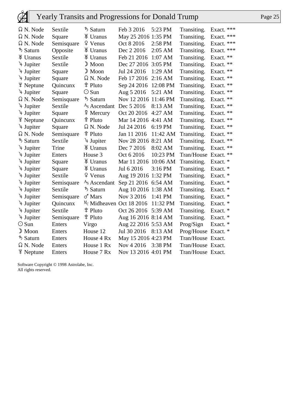| $\Omega$ N. Node      | Sextile    | ち Saturn                                     | Feb 3 2016          | 5:23 PM   | Transiting.         | Exact. *** |
|-----------------------|------------|----------------------------------------------|---------------------|-----------|---------------------|------------|
| Ω N. Node             | Square     | <b>\</b> Uranus                              | May 25 2016 1:35 PM |           | Transiting.         | Exact. *** |
| $\Omega$ N. Node      | Semisquare | $9$ Venus                                    | Oct 8 2016          | 2:58 PM   | Transiting.         | Exact. *** |
| ち Saturn              | Opposite   | <b>\</b> Uranus                              | Dec 2 2016          | 2:05 AM   | Transiting.         | Exact. *** |
| <b>\</b> Uranus       | Sextile    | <b>\</b> Uranus                              | Feb 21 2016         | 1:07 AM   | Transiting.         | Exact. **  |
| 4 Jupiter             | Sextile    | $\mathbb{D}$ Moon                            | Dec 27 2016         | $3:05$ PM | Transiting.         | Exact. **  |
| $\frac{1}{2}$ Jupiter | Square     | $\mathbb{D}$ Moon                            | Jul 24 2016         | 1:29 AM   | Transiting.         | Exact. **  |
| $\frac{1}{2}$ Jupiter | Square     | $\Omega$ N. Node                             | Feb 17 2016         | $2:16$ AM | Transiting.         | Exact. **  |
| $\frac{4}{3}$ Neptune | Quincunx   | ิ Pluto                                      | Sep 24 2016         | 12:08 PM  | Transiting.         | Exact. **  |
| $\frac{1}{2}$ Jupiter | Square     | $\odot$ Sun                                  | Aug 5 2016          | 5:21 AM   | Transiting.         | Exact. **  |
| Ω N. Node             | Semisquare | ち Saturn                                     | Nov 12 2016         | 11:46 PM  | Transiting.         | Exact. **  |
| 4 Jupiter             | Sextile    | A <sub>S</sub> Ascendant                     | Dec 5 2016          | 8:13 AM   | Transiting.         | Exact. **  |
| $\frac{1}{2}$ Jupiter | Square     | $\frac{8}{7}$ Mercury                        | Oct 20 2016         | 4:27 AM   | Transiting.         | Exact. **  |
| <b>\</b> Neptune      | Quincunx   | <sup>掌</sup> Pluto                           | Mar 14 2016 4:41 AM |           | Transiting.         | Exact. **  |
| 4 Jupiter             | Square     | $\Omega$ N. Node                             | Jul 24 2016         | 6:19 PM   | Transiting.         | Exact. **  |
| Ω N. Node             | Semisquare | ิ Pluto                                      | Jan 11 2016         | 11:42 AM  | Transiting.         | Exact. **  |
| ち Saturn              | Sextile    | $\frac{1}{2}$ Jupiter                        | Nov 28 2016 8:21 AM |           | Transiting.         | Exact. **  |
| 4 Jupiter             | Trine      | <b>\</b> Uranus                              | Dec 7 2016          | 8:02 AM   | Transiting.         | Exact. **  |
| $\frac{1}{2}$ Jupiter | Enters     | House 3                                      | Oct 6 2016          | 10:23 PM  | Tran/House          | Exact. **  |
| 4 Jupiter             | Square     | <b>\</b> Uranus                              | Mar 11 2016         | 10:06 AM  | Transiting.         | Exact. *   |
| 4 Jupiter             | Square     | <b>\</b> Uranus                              | Jul 6 2016          | $3:16$ PM | Transiting.         | Exact. *   |
| $\frac{1}{2}$ Jupiter | Sextile    | 9 Venus                                      | Aug 19 2016 1:32 PM |           | Transiting.         | Exact. *   |
| $\frac{1}{2}$ Jupiter | Semisquare | A <sub>s</sub> Ascendant                     | Sep 21 2016 6:54 AM |           | Transiting.         | Exact. *   |
| 4 Jupiter             | Sextile    | ち Saturn                                     | Aug 10 2016 1:38 AM |           | Transiting.         | Exact. *   |
| $\frac{1}{2}$ Jupiter | Semisquare | $\sigma$ <sup><math>\sigma</math></sup> Mars | Nov 3 2016          | 1:41 PM   | Transiting.         | Exact. *   |
| 4 Jupiter             | Quincunx   | M <sub>c</sub> Midheaven Oct 18 2016         |                     | 11:32 PM  | Transiting.         | Exact. *   |
| 4 Jupiter             | Sextile    | ្ <sup>ខ</sup> Pluto                         | Oct 26 2016         | 5:39 AM   | Transiting.         | Exact. *   |
| 4 Jupiter             | Semisquare | ្ <sup>ខ</sup> Pluto                         | Aug 16 2016 8:14 AM |           | Transiting.         | Exact. *   |
| $\odot$ Sun           | Enters     | Virgo                                        | Aug 22 2016 5:53 AM |           | Prog/Sign           | Exact. *   |
| $\mathbb{D}$ Moon     | Enters     | House 12                                     | Jul 30 2016         | 8:13 AM   | Prog/House Exact. * |            |
| ち Saturn              | Enters     | House 4 Rx                                   | May 15 2016 4:23 PM |           | Tran/House Exact.   |            |
| $\Omega$ N. Node      | Enters     | House 1 Rx                                   | Nov 4 2016          | 3:38 PM   | Tran/House Exact.   |            |
| <b>\</b> Neptune      | Enters     | House 7 Rx                                   | Nov 13 2016 4:01 PM |           | Tran/House Exact.   |            |

Software Copyright © 1998 Astrolabe, Inc. All rights reserved.

 $\bigcircled{E}$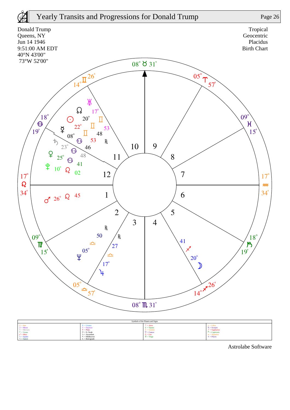

Astrolabe Software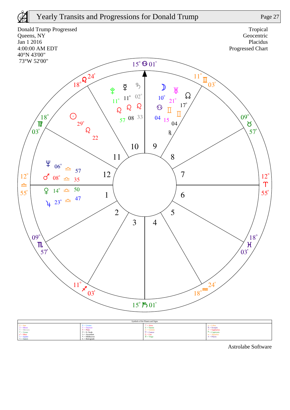



 $\mu =$  Jupiter  $5 =$ Saturn

Astrolabe Software